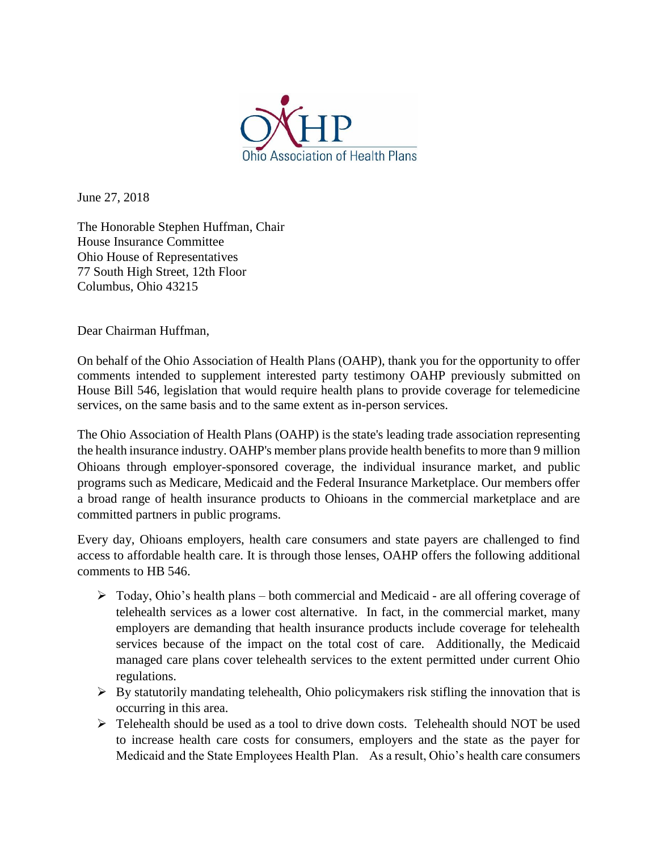

June 27, 2018

The Honorable Stephen Huffman, Chair House Insurance Committee Ohio House of Representatives 77 South High Street, 12th Floor Columbus, Ohio 43215

Dear Chairman Huffman,

On behalf of the Ohio Association of Health Plans (OAHP), thank you for the opportunity to offer comments intended to supplement interested party testimony OAHP previously submitted on House Bill 546, legislation that would require health plans to provide coverage for telemedicine services, on the same basis and to the same extent as in-person services.

The Ohio Association of Health Plans (OAHP) is the state's leading trade association representing the health insurance industry. OAHP's member plans provide health benefits to more than 9 million Ohioans through employer-sponsored coverage, the individual insurance market, and public programs such as Medicare, Medicaid and the Federal Insurance Marketplace. Our members offer a broad range of health insurance products to Ohioans in the commercial marketplace and are committed partners in public programs.

Every day, Ohioans employers, health care consumers and state payers are challenged to find access to affordable health care. It is through those lenses, OAHP offers the following additional comments to HB 546.

- ➢ Today, Ohio's health plans both commercial and Medicaid are all offering coverage of telehealth services as a lower cost alternative. In fact, in the commercial market, many employers are demanding that health insurance products include coverage for telehealth services because of the impact on the total cost of care. Additionally, the Medicaid managed care plans cover telehealth services to the extent permitted under current Ohio regulations.
- $\triangleright$  By statutorily mandating telehealth, Ohio policymakers risk stifling the innovation that is occurring in this area.
- ➢ Telehealth should be used as a tool to drive down costs. Telehealth should NOT be used to increase health care costs for consumers, employers and the state as the payer for Medicaid and the State Employees Health Plan. As a result, Ohio's health care consumers